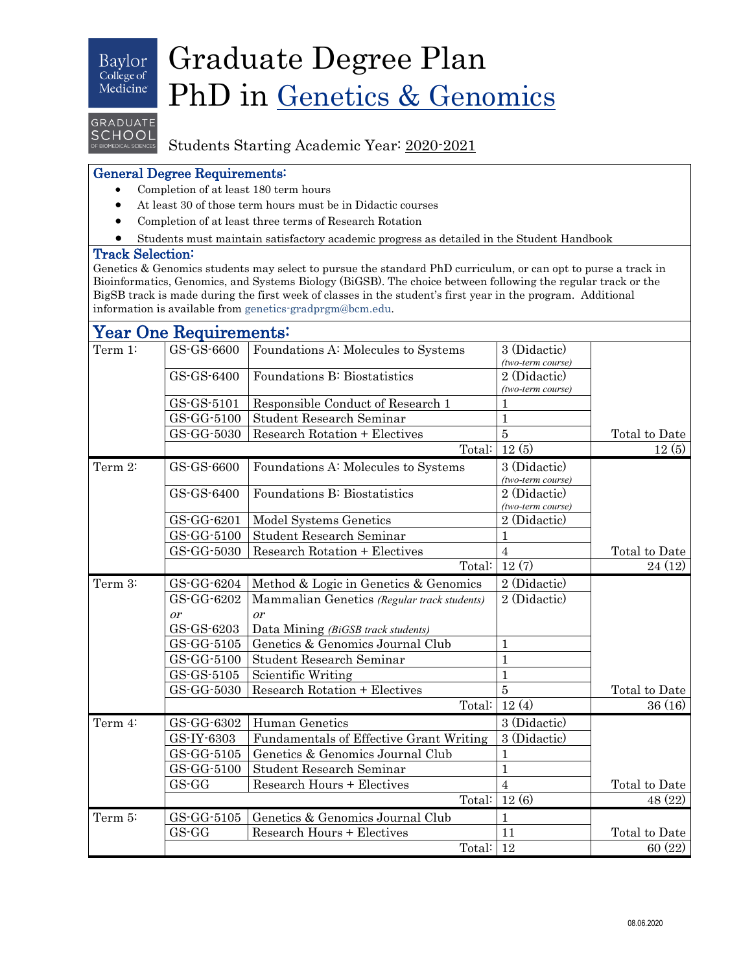### Baylor College of Medicine

# Graduate Degree Plan PhD in Genetics & Genomics

# GRADUATE **SCHOOL**

# Students Starting Academic Year: 2020-2021

## General Degree Requirements:

- Completion of at least 180 term hours
- At least 30 of those term hours must be in Didactic courses
- Completion of at least three terms of Research Rotation
- Students must maintain satisfactory academic progress as detailed in the Student Handbook

### Track Selection:

Genetics & Genomics students may select to pursue the standard PhD curriculum, or can opt to purse a track in Bioinformatics, Genomics, and Systems Biology (BiGSB). The choice between following the regular track or the BigSB track is made during the first week of classes in the student's first year in the program. Additional information is available fro[m genetics-gradprgm@bcm.edu.](mailto:genetics-gradprgm@bcm.edu)

#### **Year One Requirements:**<br>
Term 1: GS-GS-6600 Foundations A: Molecules to Systems 3 (Didactic) *(two-term course)* Total to Date GS-GS-6400 | Foundations B: Biostatistics 2 (Didactic) *(two-term course)*  $GS\text{-}GS\text{-}5101$  Responsible Conduct of Research 1 1 GS-GG-5100 | Student Research Seminar | 1  $GS-GG-5030$  Research Rotation + Electives  $\boxed{5}$ Total:  $12(5)$  12(5) Term 2:  $\begin{bmatrix} GS-GS-6600 \\ \end{bmatrix}$  Foundations A: Molecules to Systems  $\begin{bmatrix} 3 \\ \end{bmatrix}$  (Didactic) *(two-term course)* Total to Date GS-GS-6400 | Foundations B: Biostatistics 2 (Didactic) *(two-term course)* GS-GG-6201 | Model Systems Genetics | 2 (Didactic) GS-GG-5100 | Student Research Seminar | 1  $GS-GG-5030$  Research Rotation + Electives 4 Total:  $12(7)$  24 (12) Term 3: GS-GG-6204 Method & Logic in Genetics & Genomics 2 (Didactic) Total to Date GS-GG-6202 or GS-GS-6203 Mammalian Genetics *(Regular track students)* or Data Mining *(BiGSB track students)* 2 (Didactic) GS-GG-5105 Genetics & Genomics Journal Club 1 GS-GG-5100 Student Research Seminar 1  $GS$ -GS-5105 Scientific Writing  $1$  $GS-GG-5030$  Research Rotation + Electives  $\vert 5 \rangle$ Total:  $12(4)$   $36(16)$ Term 4:  $|$  GS-GG-6302 Human Genetics 3 (Didactic) Total to Date GS-IY-6303 Fundamentals of Effective Grant Writing 3 (Didactic) GS-GG-5105 | Genetics & Genomics Journal Club 1 GS-GG-5100 Student Research Seminar 1  $GS-GG$  Research Hours + Electives 4 Total:  $12(6)$   $48(22)$ Term 5: GS-GG-5105 Genetics & Genomics Journal Club 1 GS-GG Research Hours + Electives 11 Total to Date Total:  $12$  60 (22)